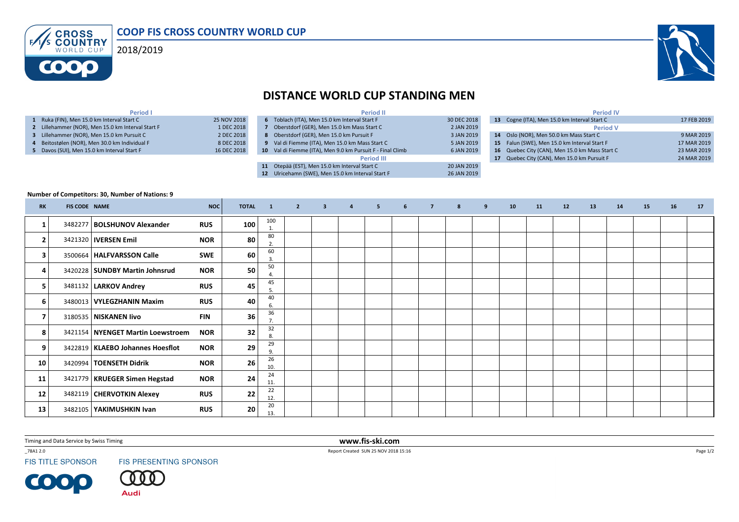VS CROSS<br>VS COUNTRY  $F$ 2018/2019**COOO** 

## DISTANCE WORLD CUP STANDING MEN

| 25 NOV 2018 |
|-------------|
| 1 DEC 2018  |
| 2 DEC 2018  |
| 8 DEC 2018  |
| 16 DEC 2018 |
|             |

|         | <b>Period II</b>                                           |             |
|---------|------------------------------------------------------------|-------------|
| 6       | Toblach (ITA), Men 15.0 km Interval Start F                | 30 DEC 2018 |
|         | Oberstdorf (GER), Men 15.0 km Mass Start C                 | 2 JAN 2019  |
| 8       | Oberstdorf (GER), Men 15.0 km Pursuit F                    | 3 JAN 2019  |
| 9       | Val di Fiemme (ITA), Men 15.0 km Mass Start C              | 5 JAN 2019  |
|         | 10 Val di Fiemme (ITA), Men 9.0 km Pursuit F - Final Climb | 6 JAN 2019  |
|         | <b>Period III</b>                                          |             |
| 11      | Otepää (EST), Men 15.0 km Interval Start C                 | 20 JAN 2019 |
| $12-12$ | Ulricehamn (SWE), Men 15.0 km Interval Start F             | 26 JAN 2019 |
|         |                                                            |             |

|    | <b>Period IV</b>                             |             |
|----|----------------------------------------------|-------------|
| 13 | Cogne (ITA), Men 15.0 km Interval Start C    | 17 FEB 2019 |
|    | <b>Period V</b>                              |             |
|    | 14 Oslo (NOR), Men 50.0 km Mass Start C      | 9 MAR 2019  |
|    | 15 Falun (SWE), Men 15.0 km Interval Start F | 17 MAR 2019 |
| 16 | Quebec City (CAN), Men 15.0 km Mass Start C  | 23 MAR 2019 |
| 17 | Quebec City (CAN), Men 15.0 km Pursuit F     | 24 MAR 2019 |
|    |                                              |             |

## Number of Competitors: 30, Number of Nations: 9

| <b>RK</b>               | <b>FIS CODE NAME</b> |                                     | <b>NOC</b> | <b>TOTAL</b> | $\blacksquare$ | $\overline{2}$ | $\overline{\mathbf{3}}$ | $\overline{4}$ | 5 <sub>1</sub> | 6 | $\overline{7}$ | 8 | 9 | 10 | 11 | 12 | 13 | 14 | 15 | 16 | 17 |
|-------------------------|----------------------|-------------------------------------|------------|--------------|----------------|----------------|-------------------------|----------------|----------------|---|----------------|---|---|----|----|----|----|----|----|----|----|
| -1                      |                      | 3482277   BOLSHUNOV Alexander       | <b>RUS</b> | 100          | 100<br>1.      |                |                         |                |                |   |                |   |   |    |    |    |    |    |    |    |    |
| $\overline{2}$          |                      | 3421320   IVERSEN Emil              | <b>NOR</b> | 80           | 80<br>2.       |                |                         |                |                |   |                |   |   |    |    |    |    |    |    |    |    |
| 3                       |                      | 3500664   HALFVARSSON Calle         | SWE        | 60           | 60<br>3        |                |                         |                |                |   |                |   |   |    |    |    |    |    |    |    |    |
| 4                       |                      | 3420228   SUNDBY Martin Johnsrud    | <b>NOR</b> | 50           | 50             |                |                         |                |                |   |                |   |   |    |    |    |    |    |    |    |    |
| 5                       |                      | 3481132   LARKOV Andrey             | <b>RUS</b> | 45           | 45<br>5.       |                |                         |                |                |   |                |   |   |    |    |    |    |    |    |    |    |
| 6                       |                      | 3480013   VYLEGZHANIN Maxim         | <b>RUS</b> | 40           | 40<br>6.       |                |                         |                |                |   |                |   |   |    |    |    |    |    |    |    |    |
| $\overline{\mathbf{z}}$ |                      | 3180535   NISKANEN livo             | <b>FIN</b> | 36           | 36             |                |                         |                |                |   |                |   |   |    |    |    |    |    |    |    |    |
| 8                       |                      | 3421154   NYENGET Martin Loewstroem | <b>NOR</b> | 32           | 32<br>8.       |                |                         |                |                |   |                |   |   |    |    |    |    |    |    |    |    |
| 9                       |                      | 3422819   KLAEBO Johannes Hoesflot  | <b>NOR</b> | 29           | 29<br>9        |                |                         |                |                |   |                |   |   |    |    |    |    |    |    |    |    |
| 10                      |                      | 3420994   TOENSETH Didrik           | <b>NOR</b> | 26           | 26<br>10.      |                |                         |                |                |   |                |   |   |    |    |    |    |    |    |    |    |
| 11                      |                      | 3421779   KRUEGER Simen Hegstad     | <b>NOR</b> | 24           | 24<br>11.      |                |                         |                |                |   |                |   |   |    |    |    |    |    |    |    |    |
| 12                      |                      | 3482119   CHERVOTKIN Alexey         | <b>RUS</b> | 22           | 22<br>12.      |                |                         |                |                |   |                |   |   |    |    |    |    |    |    |    |    |
| 13                      |                      | 3482105   YAKIMUSHKIN Ivan          | <b>RUS</b> | 20           | 20<br>13.      |                |                         |                |                |   |                |   |   |    |    |    |    |    |    |    |    |

Timing and Data Service by Swiss Timing

\_78A1 2.0

**FIS TITLE SPONSOR** 

**COOP** 

FIS PRESENTING SPONSOR

. 0 **Audi** 

 www.fis-ski.comReport Created SUN 25 NOV 2018 15:16